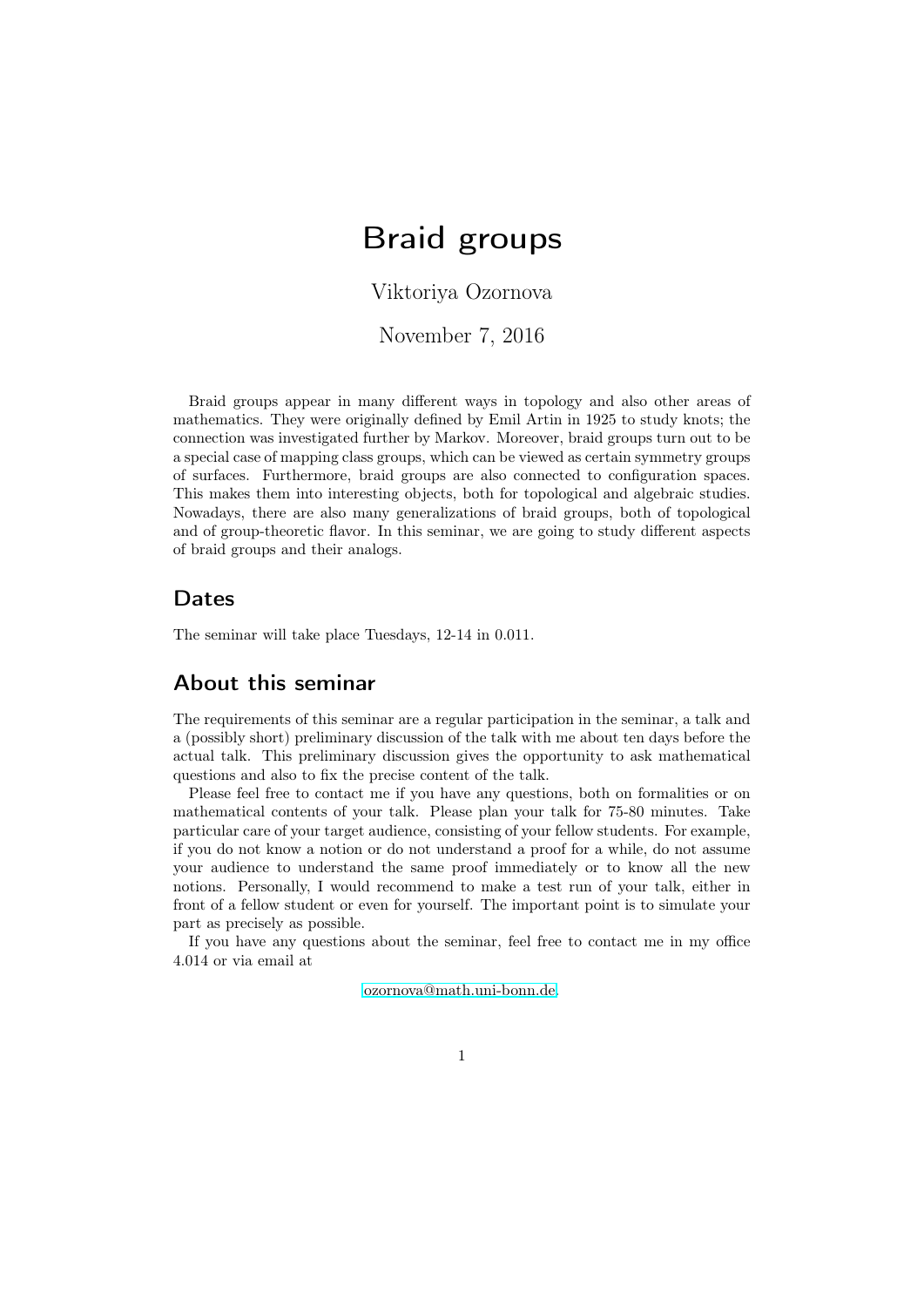# <span id="page-0-0"></span>Braid groups

Viktoriya Ozornova

November 7, 2016

Braid groups appear in many different ways in topology and also other areas of mathematics. They were originally defined by Emil Artin in 1925 to study knots; the connection was investigated further by Markov. Moreover, braid groups turn out to be a special case of mapping class groups, which can be viewed as certain symmetry groups of surfaces. Furthermore, braid groups are also connected to configuration spaces. This makes them into interesting objects, both for topological and algebraic studies. Nowadays, there are also many generalizations of braid groups, both of topological and of group-theoretic flavor. In this seminar, we are going to study different aspects of braid groups and their analogs.

#### Dates

The seminar will take place Tuesdays, 12-14 in 0.011.

#### About this seminar

The requirements of this seminar are a regular participation in the seminar, a talk and a (possibly short) preliminary discussion of the talk with me about ten days before the actual talk. This preliminary discussion gives the opportunity to ask mathematical questions and also to fix the precise content of the talk.

Please feel free to contact me if you have any questions, both on formalities or on mathematical contents of your talk. Please plan your talk for 75-80 minutes. Take particular care of your target audience, consisting of your fellow students. For example, if you do not know a notion or do not understand a proof for a while, do not assume your audience to understand the same proof immediately or to know all the new notions. Personally, I would recommend to make a test run of your talk, either in front of a fellow student or even for yourself. The important point is to simulate your part as precisely as possible.

If you have any questions about the seminar, feel free to contact me in my office 4.014 or via email at

[ozornova@math.uni-bonn.de.](ozornova@math.uni-bonn.de)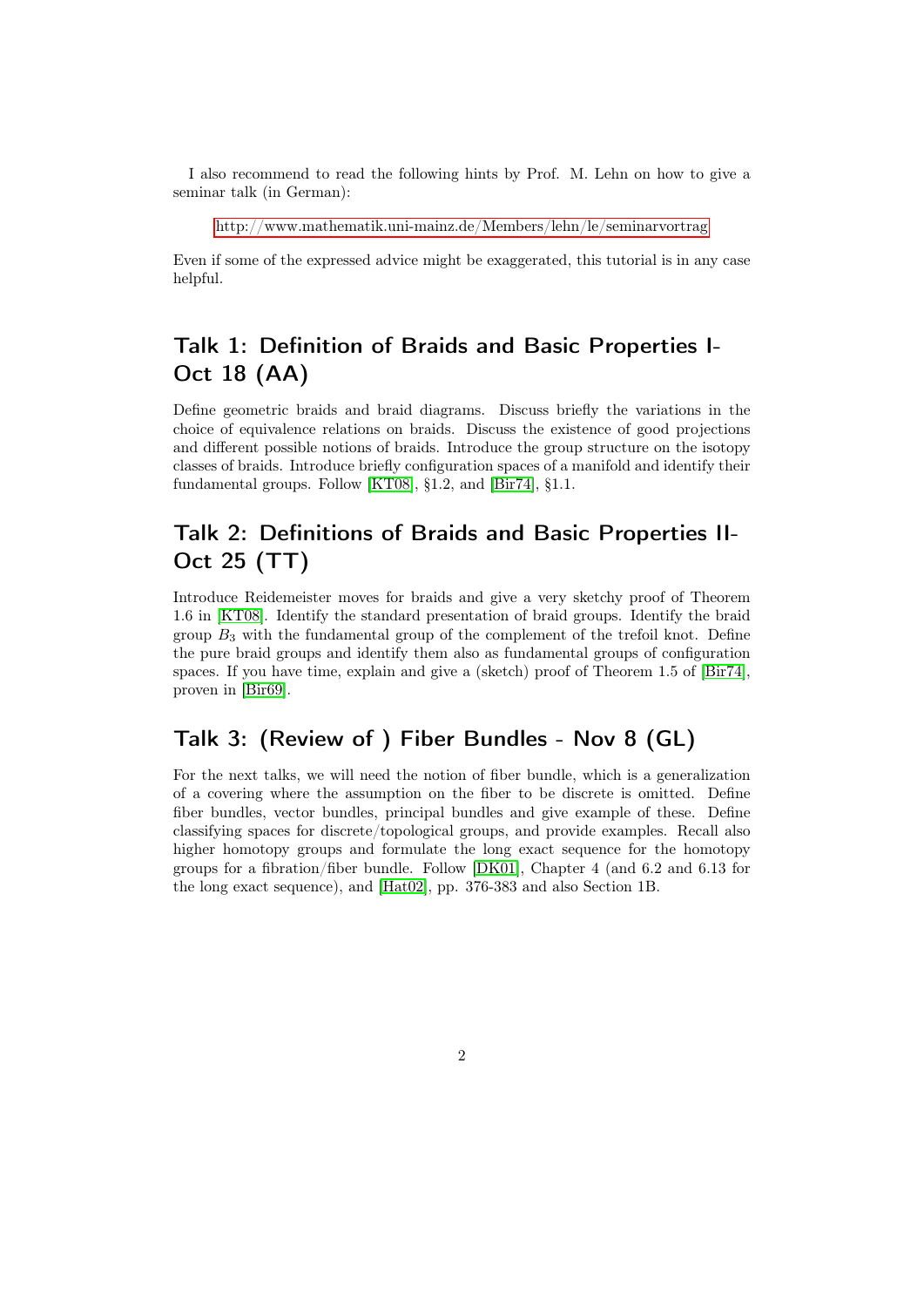I also recommend to read the following hints by Prof. M. Lehn on how to give a seminar talk (in German):

[http://www.mathematik.uni-mainz.de/Members/lehn/le/seminarvortrag](#page-0-0)

Even if some of the expressed advice might be exaggerated, this tutorial is in any case helpful.

# Talk 1: Definition of Braids and Basic Properties I-Oct 18 (AA)

Define geometric braids and braid diagrams. Discuss briefly the variations in the choice of equivalence relations on braids. Discuss the existence of good projections and different possible notions of braids. Introduce the group structure on the isotopy classes of braids. Introduce briefly configuration spaces of a manifold and identify their fundamental groups. Follow [\[KT08\]](#page-5-0), §1.2, and [\[Bir74\]](#page-5-1), §1.1.

### Talk 2: Definitions of Braids and Basic Properties II-Oct 25 (TT)

Introduce Reidemeister moves for braids and give a very sketchy proof of Theorem 1.6 in [\[KT08\]](#page-5-0). Identify the standard presentation of braid groups. Identify the braid group  $B_3$  with the fundamental group of the complement of the trefoil knot. Define the pure braid groups and identify them also as fundamental groups of configuration spaces. If you have time, explain and give a (sketch) proof of Theorem 1.5 of [\[Bir74\]](#page-5-1), proven in [\[Bir69\]](#page-4-0).

### Talk 3: (Review of ) Fiber Bundles - Nov 8 (GL)

For the next talks, we will need the notion of fiber bundle, which is a generalization of a covering where the assumption on the fiber to be discrete is omitted. Define fiber bundles, vector bundles, principal bundles and give example of these. Define classifying spaces for discrete/topological groups, and provide examples. Recall also higher homotopy groups and formulate the long exact sequence for the homotopy groups for a fibration/fiber bundle. Follow [\[DK01\]](#page-5-2), Chapter 4 (and 6.2 and 6.13 for the long exact sequence), and [\[Hat02\]](#page-5-3), pp. 376-383 and also Section 1B.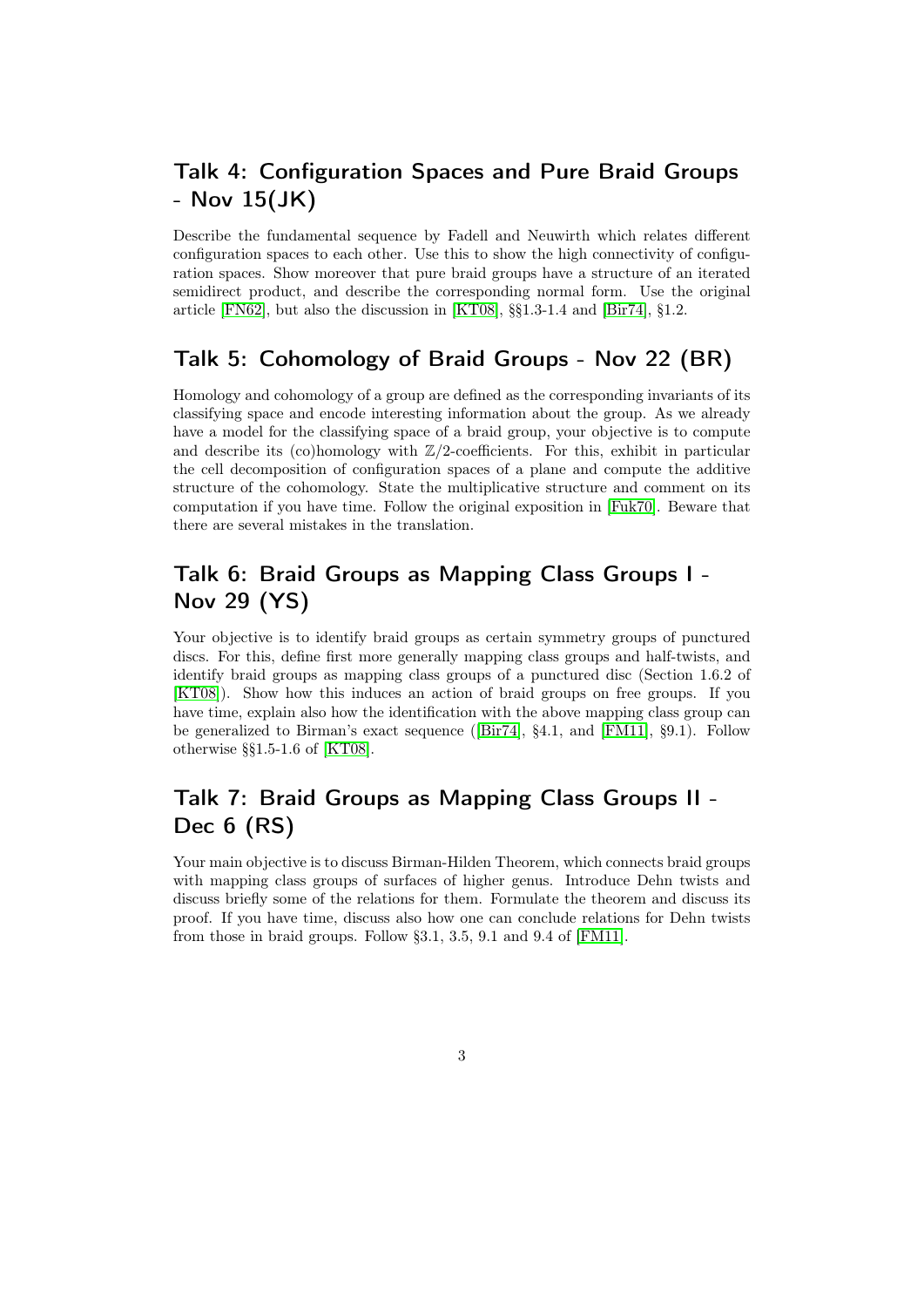### Talk 4: Configuration Spaces and Pure Braid Groups - Nov 15(JK)

Describe the fundamental sequence by Fadell and Neuwirth which relates different configuration spaces to each other. Use this to show the high connectivity of configuration spaces. Show moreover that pure braid groups have a structure of an iterated semidirect product, and describe the corresponding normal form. Use the original article [\[FN62\]](#page-5-4), but also the discussion in [\[KT08\]](#page-5-0), §§1.3-1.4 and [\[Bir74\]](#page-5-1), §1.2.

### Talk 5: Cohomology of Braid Groups - Nov 22 (BR)

Homology and cohomology of a group are defined as the corresponding invariants of its classifying space and encode interesting information about the group. As we already have a model for the classifying space of a braid group, your objective is to compute and describe its (co)homology with  $\mathbb{Z}/2$ -coefficients. For this, exhibit in particular the cell decomposition of configuration spaces of a plane and compute the additive structure of the cohomology. State the multiplicative structure and comment on its computation if you have time. Follow the original exposition in [\[Fuk70\]](#page-5-5). Beware that there are several mistakes in the translation.

# Talk 6: Braid Groups as Mapping Class Groups I - Nov 29 (YS)

Your objective is to identify braid groups as certain symmetry groups of punctured discs. For this, define first more generally mapping class groups and half-twists, and identify braid groups as mapping class groups of a punctured disc (Section 1.6.2 of [\[KT08\]](#page-5-0)). Show how this induces an action of braid groups on free groups. If you have time, explain also how the identification with the above mapping class group can be generalized to Birman's exact sequence ([\[Bir74\]](#page-5-1), §4.1, and [\[FM11\]](#page-5-6), §9.1). Follow otherwise §§1.5-1.6 of [\[KT08\]](#page-5-0).

# Talk 7: Braid Groups as Mapping Class Groups II - Dec 6 (RS)

Your main objective is to discuss Birman-Hilden Theorem, which connects braid groups with mapping class groups of surfaces of higher genus. Introduce Dehn twists and discuss briefly some of the relations for them. Formulate the theorem and discuss its proof. If you have time, discuss also how one can conclude relations for Dehn twists from those in braid groups. Follow §3.1, 3.5, 9.1 and 9.4 of [\[FM11\]](#page-5-6).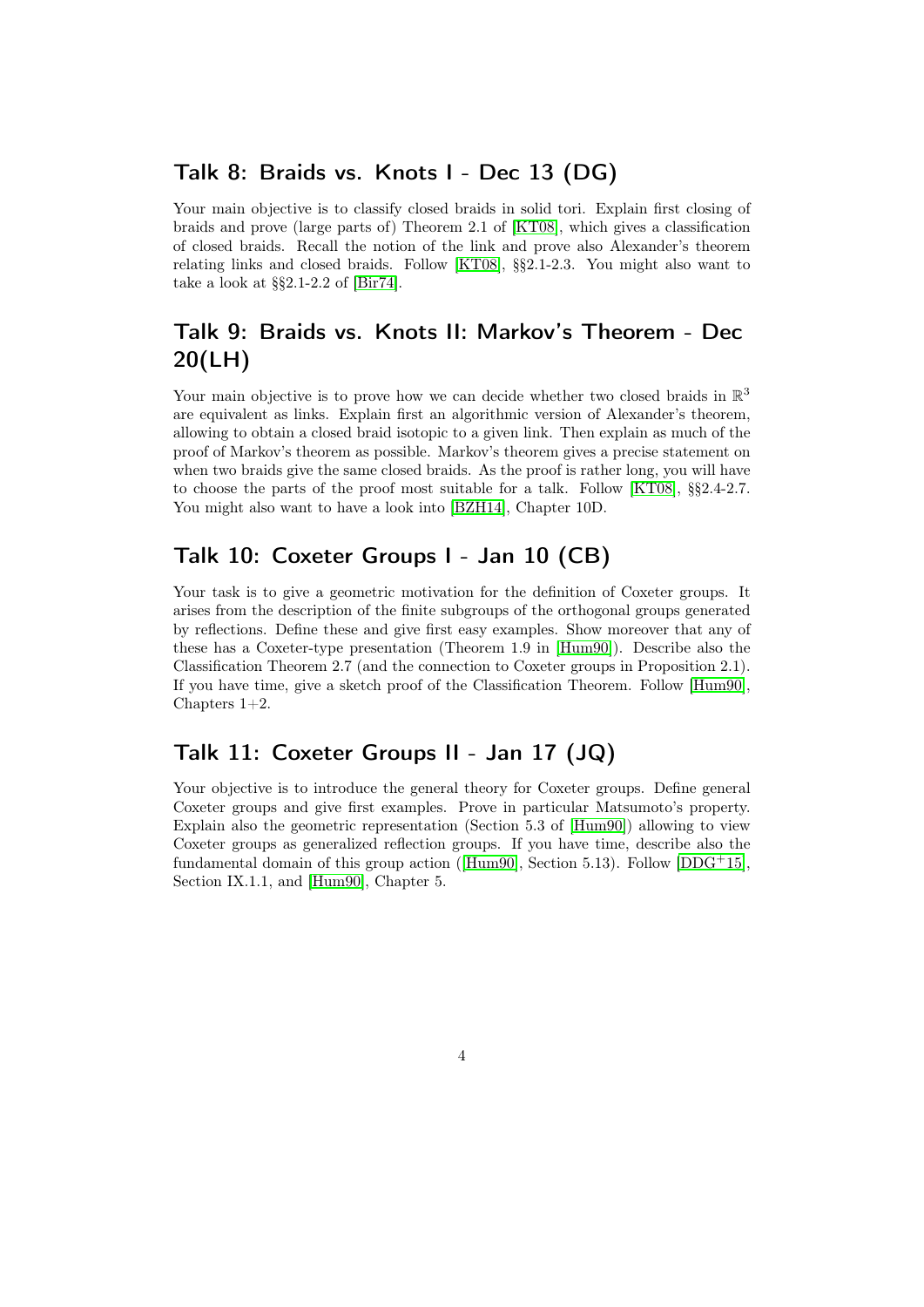#### Talk 8: Braids vs. Knots I - Dec 13 (DG)

Your main objective is to classify closed braids in solid tori. Explain first closing of braids and prove (large parts of) Theorem 2.1 of [\[KT08\]](#page-5-0), which gives a classification of closed braids. Recall the notion of the link and prove also Alexander's theorem relating links and closed braids. Follow [\[KT08\]](#page-5-0), §§2.1-2.3. You might also want to take a look at §§2.1-2.2 of [\[Bir74\]](#page-5-1).

### Talk 9: Braids vs. Knots II: Markov's Theorem - Dec 20(LH)

Your main objective is to prove how we can decide whether two closed braids in  $\mathbb{R}^3$ are equivalent as links. Explain first an algorithmic version of Alexander's theorem, allowing to obtain a closed braid isotopic to a given link. Then explain as much of the proof of Markov's theorem as possible. Markov's theorem gives a precise statement on when two braids give the same closed braids. As the proof is rather long, you will have to choose the parts of the proof most suitable for a talk. Follow [\[KT08\]](#page-5-0), §§2.4-2.7. You might also want to have a look into [\[BZH14\]](#page-5-7), Chapter 10D.

#### Talk 10: Coxeter Groups I - Jan 10 (CB)

Your task is to give a geometric motivation for the definition of Coxeter groups. It arises from the description of the finite subgroups of the orthogonal groups generated by reflections. Define these and give first easy examples. Show moreover that any of these has a Coxeter-type presentation (Theorem 1.9 in [\[Hum90\]](#page-5-8)). Describe also the Classification Theorem 2.7 (and the connection to Coxeter groups in Proposition 2.1). If you have time, give a sketch proof of the Classification Theorem. Follow [\[Hum90\]](#page-5-8), Chapters 1+2.

#### Talk 11: Coxeter Groups II - Jan 17 (JQ)

Your objective is to introduce the general theory for Coxeter groups. Define general Coxeter groups and give first examples. Prove in particular Matsumoto's property. Explain also the geometric representation (Section 5.3 of [\[Hum90\]](#page-5-8)) allowing to view Coxeter groups as generalized reflection groups. If you have time, describe also the fundamental domain of this group action ([\[Hum90\]](#page-5-8), Section 5.13). Follow [\[DDG](#page-5-9)<sup>+</sup>15], Section IX.1.1, and [\[Hum90\]](#page-5-8), Chapter 5.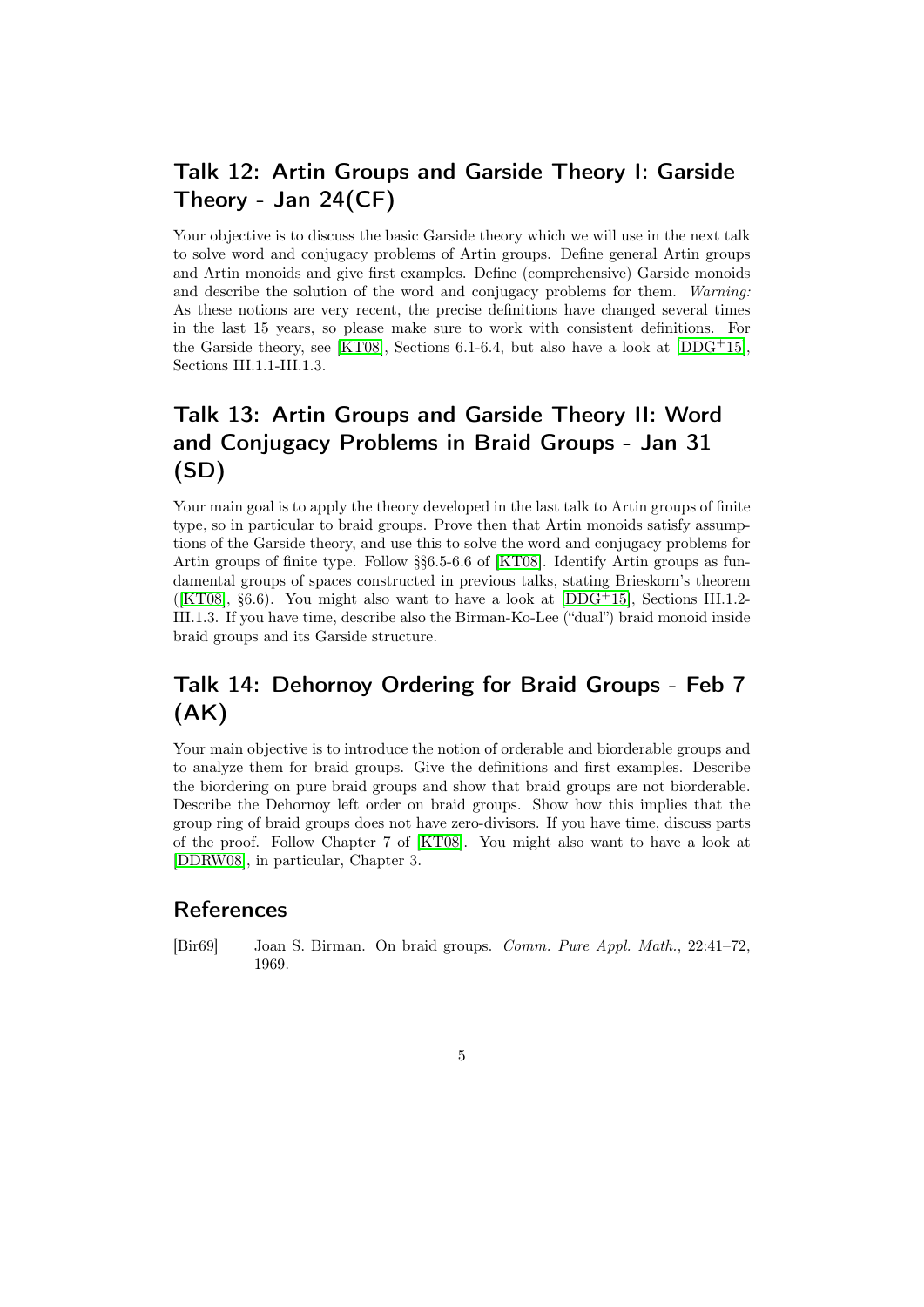# Talk 12: Artin Groups and Garside Theory I: Garside Theory - Jan 24(CF)

Your objective is to discuss the basic Garside theory which we will use in the next talk to solve word and conjugacy problems of Artin groups. Define general Artin groups and Artin monoids and give first examples. Define (comprehensive) Garside monoids and describe the solution of the word and conjugacy problems for them. Warning: As these notions are very recent, the precise definitions have changed several times in the last 15 years, so please make sure to work with consistent definitions. For the Garside theory, see [\[KT08\]](#page-5-0), Sections 6.1-6.4, but also have a look at [\[DDG](#page-5-9)+15], Sections III.1.1-III.1.3.

# Talk 13: Artin Groups and Garside Theory II: Word and Conjugacy Problems in Braid Groups - Jan 31 (SD)

Your main goal is to apply the theory developed in the last talk to Artin groups of finite type, so in particular to braid groups. Prove then that Artin monoids satisfy assumptions of the Garside theory, and use this to solve the word and conjugacy problems for Artin groups of finite type. Follow §§6.5-6.6 of [\[KT08\]](#page-5-0). Identify Artin groups as fundamental groups of spaces constructed in previous talks, stating Brieskorn's theorem ([\[KT08\]](#page-5-0),  $\S6.6$ ). You might also want to have a look at [\[DDG](#page-5-9)<sup>+15]</sup>, Sections III.1.2-III.1.3. If you have time, describe also the Birman-Ko-Lee ("dual") braid monoid inside braid groups and its Garside structure.

# Talk 14: Dehornoy Ordering for Braid Groups - Feb 7 (AK)

Your main objective is to introduce the notion of orderable and biorderable groups and to analyze them for braid groups. Give the definitions and first examples. Describe the biordering on pure braid groups and show that braid groups are not biorderable. Describe the Dehornoy left order on braid groups. Show how this implies that the group ring of braid groups does not have zero-divisors. If you have time, discuss parts of the proof. Follow Chapter 7 of [\[KT08\]](#page-5-0). You might also want to have a look at [\[DDRW08\]](#page-5-10), in particular, Chapter 3.

#### References

<span id="page-4-0"></span>[Bir69] Joan S. Birman. On braid groups. Comm. Pure Appl. Math., 22:41–72, 1969.